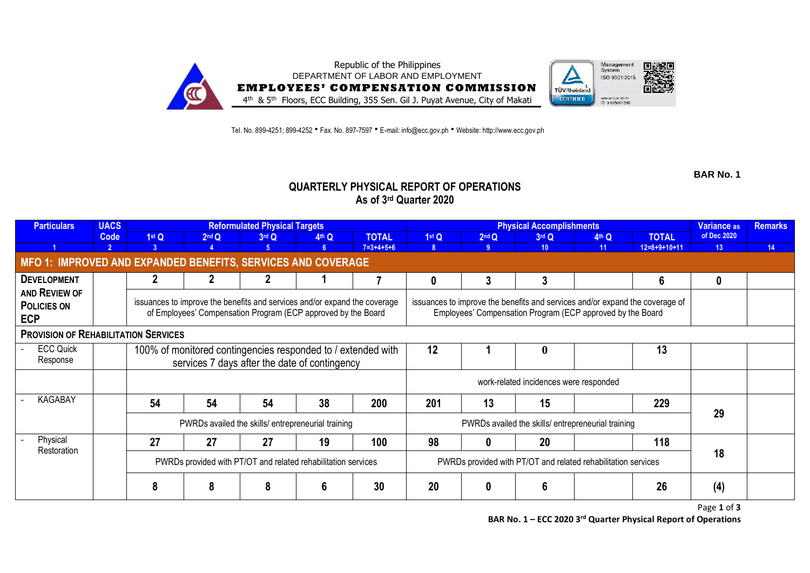

Tel. No. 899-4251; 899-4252 • Fax. No. 897-7597 • E-mail: info@ecc.gov.ph • Website: http://www.ecc.gov.ph

**BAR No. 1**

## **QUARTERLY PHYSICAL REPORT OF OPERATIONS As of 3rd Quarter 2020**

| <b>Particulars</b>                                           | <b>UACS</b>   | <b>Reformulated Physical Targets</b>                                                                                                                                                                                                                                                     |                                                              |         |       |                     |              | <b>Physical Accomplishments</b>                               | <b>Variance as</b> | <b>Remarks</b> |                |                 |    |
|--------------------------------------------------------------|---------------|------------------------------------------------------------------------------------------------------------------------------------------------------------------------------------------------------------------------------------------------------------------------------------------|--------------------------------------------------------------|---------|-------|---------------------|--------------|---------------------------------------------------------------|--------------------|----------------|----------------|-----------------|----|
|                                                              | Code          | 1stQ                                                                                                                                                                                                                                                                                     | 2 <sup>nd</sup> Q                                            | $3rd$ Q | 4th Q | <b>TOTAL</b>        | 1st Q        | 2 <sup>nd</sup> Q                                             | 3rd Q              | 4th Q          | <b>TOTAL</b>   | of Dec 2020     |    |
|                                                              | $\mathcal{P}$ | 3                                                                                                                                                                                                                                                                                        |                                                              | -5      | 6     | $7 = 3 + 4 + 5 + 6$ | $\mathbf{R}$ | 9 <sup>1</sup>                                                | 10 <sup>°</sup>    | 11             | $12=8+9+10+11$ | 13 <sup>°</sup> | 14 |
| MFO 1: IMPROVED AND EXPANDED BENEFITS, SERVICES AND COVERAGE |               |                                                                                                                                                                                                                                                                                          |                                                              |         |       |                     |              |                                                               |                    |                |                |                 |    |
| <b>DEVELOPMENT</b>                                           |               |                                                                                                                                                                                                                                                                                          |                                                              |         |       |                     | 0            | 3                                                             | 3                  |                | 6              | 0               |    |
| AND REVIEW OF<br><b>POLICIES ON</b><br><b>ECP</b>            |               | issuances to improve the benefits and services and/or expand the coverage<br>issuances to improve the benefits and services and/or expand the coverage of<br>of Employees' Compensation Program (ECP approved by the Board<br>Employees' Compensation Program (ECP approved by the Board |                                                              |         |       |                     |              |                                                               |                    |                |                |                 |    |
| <b>PROVISION OF REHABILITATION SERVICES</b>                  |               |                                                                                                                                                                                                                                                                                          |                                                              |         |       |                     |              |                                                               |                    |                |                |                 |    |
| <b>ECC Quick</b>                                             |               |                                                                                                                                                                                                                                                                                          | 100% of monitored contingencies responded to / extended with |         |       |                     | 12           |                                                               | $\mathbf{0}$       |                | 13             |                 |    |
| Response                                                     |               |                                                                                                                                                                                                                                                                                          | services 7 days after the date of contingency                |         |       |                     |              |                                                               |                    |                |                |                 |    |
|                                                              |               |                                                                                                                                                                                                                                                                                          |                                                              |         |       |                     |              | work-related incidences were responded                        |                    |                |                |                 |    |
| <b>KAGABAY</b>                                               |               | 54                                                                                                                                                                                                                                                                                       | 54                                                           | 54      | 38    | 200                 | 201          | 13                                                            | 15                 |                | 229            | 29              |    |
|                                                              |               | PWRDs availed the skills/entrepreneurial training                                                                                                                                                                                                                                        |                                                              |         |       |                     |              | PWRDs availed the skills/ entrepreneurial training            |                    |                |                |                 |    |
| Physical<br>Restoration                                      |               | 27                                                                                                                                                                                                                                                                                       | 27                                                           | 27      | 19    | 100                 | 98           | 0                                                             | 20                 |                | 118            |                 |    |
|                                                              |               | PWRDs provided with PT/OT and related rehabilitation services                                                                                                                                                                                                                            |                                                              |         |       |                     |              | PWRDs provided with PT/OT and related rehabilitation services | 18                 |                |                |                 |    |
|                                                              |               | 8                                                                                                                                                                                                                                                                                        | 8                                                            |         | 6     | 30                  | 20           | 0                                                             | 6                  |                | 26             | (4)             |    |

Page **1** of **3 BAR No. 1 – ECC 2020 3 rd Quarter Physical Report of Operations**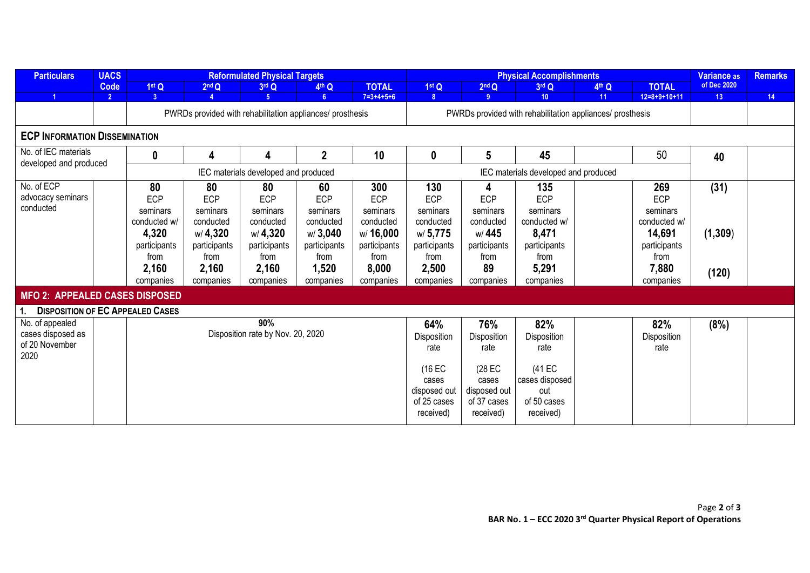| <b>Particulars</b>                             | <b>UACS</b>    |                                                           | <b>Reformulated Physical Targets</b> |                                      |                | <b>Physical Accomplishments</b> |              |                                                           |                                      |                   | <b>Variance as</b> | <b>Remarks</b>  |    |
|------------------------------------------------|----------------|-----------------------------------------------------------|--------------------------------------|--------------------------------------|----------------|---------------------------------|--------------|-----------------------------------------------------------|--------------------------------------|-------------------|--------------------|-----------------|----|
|                                                | Code           | 1st Q                                                     | 2 <sup>nd</sup> Q                    | 3rd Q                                | 4th Q          | <b>TOTAL</b>                    | 1stQ         | 2 <sup>nd</sup> Q                                         | 3rd Q                                | 4 <sup>th</sup> Q | <b>TOTAL</b>       | of Dec 2020     |    |
|                                                | $\overline{2}$ | 3 <sup>1</sup>                                            |                                      | 5 <sup>1</sup>                       | 6 <sup>5</sup> | $7 = 3 + 4 + 5 + 6$             | 8            | 9                                                         | 10 <sup>°</sup>                      | 11                | $12=8+9+10+11$     | 13 <sup>°</sup> | 14 |
|                                                |                | PWRDs provided with rehabilitation appliances/ prosthesis |                                      |                                      |                |                                 |              | PWRDs provided with rehabilitation appliances/ prosthesis |                                      |                   |                    |                 |    |
| <b>ECP INFORMATION DISSEMINATION</b>           |                |                                                           |                                      |                                      |                |                                 |              |                                                           |                                      |                   |                    |                 |    |
| No. of IEC materials<br>developed and produced |                | 0                                                         | 4                                    | 4                                    | $\mathbf{2}$   | 10                              | 0            | $5\phantom{.0}$                                           | 45                                   |                   | 50                 | 40              |    |
|                                                |                |                                                           |                                      | IEC materials developed and produced |                |                                 |              |                                                           | IEC materials developed and produced |                   |                    |                 |    |
| No. of ECP                                     |                | 80                                                        | 80                                   | 80                                   | 60             | 300                             | 130          | 4                                                         | 135                                  |                   | 269                | (31)            |    |
| advocacy seminars                              |                | ECP                                                       | ECP                                  | ECP                                  | ECP            | ECP                             | ECP          | ECP                                                       | <b>ECP</b>                           |                   | ECP                |                 |    |
| conducted                                      |                | seminars                                                  | seminars                             | seminars                             | seminars       | seminars                        | seminars     | seminars                                                  | seminars                             |                   | seminars           |                 |    |
|                                                |                | conducted w/                                              | conducted                            | conducted                            | conducted      | conducted                       | conducted    | conducted                                                 | conducted w/                         |                   | conducted w/       |                 |    |
|                                                |                | 4,320                                                     | w/ 4,320                             | w/ 4,320                             | w/3,040        | w/16,000                        | w/5,775      | w/445                                                     | 8,471                                |                   | 14,691             | (1, 309)        |    |
|                                                |                | participants                                              | participants                         | participants                         | participants   | participants                    | participants | participants                                              | participants                         |                   | participants       |                 |    |
|                                                |                | from                                                      | from                                 | from                                 | from           | from                            | from         | from                                                      | from                                 |                   | from               |                 |    |
|                                                |                | 2,160                                                     | 2,160                                | 2,160                                | 1,520          | 8,000                           | 2,500        | 89                                                        | 5,291                                |                   | 7,880              | (120)           |    |
|                                                |                | companies                                                 | companies                            | companies                            | companies      | companies                       | companies    | companies                                                 | companies                            |                   | companies          |                 |    |
| <b>MFO 2: APPEALED CASES DISPOSED</b>          |                |                                                           |                                      |                                      |                |                                 |              |                                                           |                                      |                   |                    |                 |    |
| <b>DISPOSITION OF EC APPEALED CASES</b>        |                |                                                           |                                      |                                      |                |                                 |              |                                                           |                                      |                   |                    |                 |    |
| No. of appealed                                |                |                                                           |                                      | 90%                                  |                |                                 | 64%          | 76%                                                       | 82%                                  |                   | 82%                | (8%)            |    |
| cases disposed as                              |                |                                                           |                                      | Disposition rate by Nov. 20, 2020    |                |                                 | Disposition  | Disposition                                               | Disposition                          |                   | Disposition        |                 |    |
| of 20 November                                 |                |                                                           |                                      |                                      |                | rate                            | rate         | rate                                                      |                                      | rate              |                    |                 |    |
| 2020                                           |                |                                                           |                                      |                                      |                |                                 |              |                                                           |                                      |                   |                    |                 |    |
|                                                |                |                                                           |                                      |                                      |                |                                 | (16 EC       | (28 EC                                                    | (41 EC                               |                   |                    |                 |    |
|                                                |                |                                                           |                                      |                                      |                |                                 | cases        | cases                                                     | cases disposed                       |                   |                    |                 |    |
|                                                |                |                                                           |                                      |                                      |                |                                 | disposed out | disposed out                                              | out                                  |                   |                    |                 |    |
|                                                |                |                                                           |                                      |                                      |                |                                 | of 25 cases  | of 37 cases                                               | of 50 cases                          |                   |                    |                 |    |
|                                                |                |                                                           |                                      |                                      |                |                                 | received)    | received)                                                 | received)                            |                   |                    |                 |    |